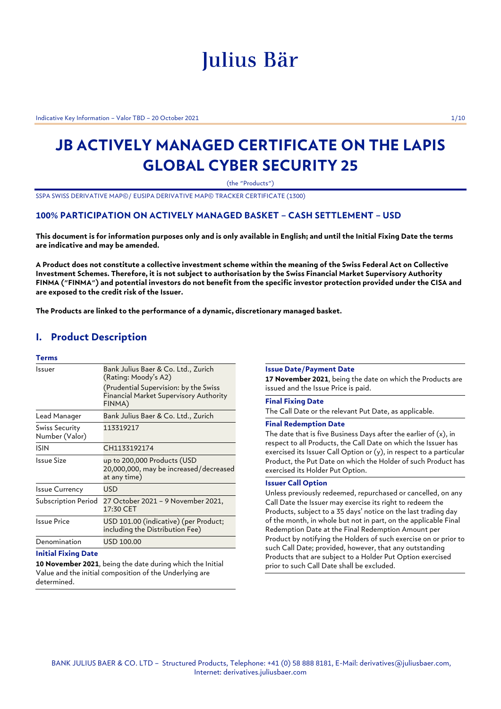# Julius Bär

Indicative Key Information – Valor TBD – 20 October 2021 1/10

## **JB ACTIVELY MANAGED CERTIFICATE ON THE LAPIS GLOBAL CYBER SECURITY 25**

(the "Products")

SSPA SWISS DERIVATIVE MAP©/ EUSIPA DERIVATIVE MAP© TRACKER CERTIFICATE (1300)

## **100% PARTICIPATION ON ACTIVELY MANAGED BASKET – CASH SETTLEMENT – USD**

**This document is for information purposes only and is only available in English; and until the Initial Fixing Date the terms are indicative and may be amended.**

**A Product does not constitute a collective investment scheme within the meaning of the Swiss Federal Act on Collective Investment Schemes. Therefore, it is not subject to authorisation by the Swiss Financial Market Supervisory Authority FINMA ("FINMA") and potential investors do not benefit from the specific investor protection provided under the CISA and are exposed to the credit risk of the Issuer.**

**The Products are linked to the performance of a dynamic, discretionary managed basket.**

## **I. Product Description**

## **Terms**

| Issuer                           | Bank Julius Baer & Co. Ltd., Zurich<br>(Rating: Moody's A2)<br>(Prudential Supervision: by the Swiss<br><b>Financial Market Supervisory Authority</b><br>FINMA) |
|----------------------------------|-----------------------------------------------------------------------------------------------------------------------------------------------------------------|
| Lead Manager                     | Bank Julius Baer & Co. Ltd., Zurich                                                                                                                             |
| Swiss Security<br>Number (Valor) | 113319217                                                                                                                                                       |
| ISIN                             | CH1133192174                                                                                                                                                    |
| Issue Size                       | up to 200,000 Products (USD<br>20,000,000, may be increased/decreased<br>at any time)                                                                           |
| <b>Issue Currency</b>            | <b>USD</b>                                                                                                                                                      |
| Subscription Period              | 27 October 2021 - 9 November 2021,<br>17:30 CET                                                                                                                 |
| <b>Issue Price</b>               | USD 101.00 (indicative) (per Product;<br>including the Distribution Fee)                                                                                        |
| Denomination                     | USD 100.00                                                                                                                                                      |

#### **Initial Fixing Date**

**10 November 2021**, being the date during which the Initial Value and the initial composition of the Underlying are determined.

#### **Issue Date/Payment Date**

**17 November 2021**, being the date on which the Products are issued and the Issue Price is paid.

## **Final Fixing Date**

The Call Date or the relevant Put Date, as applicable.

## **Final Redemption Date**

The date that is five Business Days after the earlier of  $(x)$ , in respect to all Products, the Call Date on which the Issuer has exercised its Issuer Call Option or (y), in respect to a particular Product, the Put Date on which the Holder of such Product has exercised its Holder Put Option.

## **Issuer Call Option**

Unless previously redeemed, repurchased or cancelled, on any Call Date the Issuer may exercise its right to redeem the Products, subject to a 35 days' notice on the last trading day of the month, in whole but not in part, on the applicable Final Redemption Date at the Final Redemption Amount per Product by notifying the Holders of such exercise on or prior to such Call Date; provided, however, that any outstanding Products that are subject to a Holder Put Option exercised prior to such Call Date shall be excluded.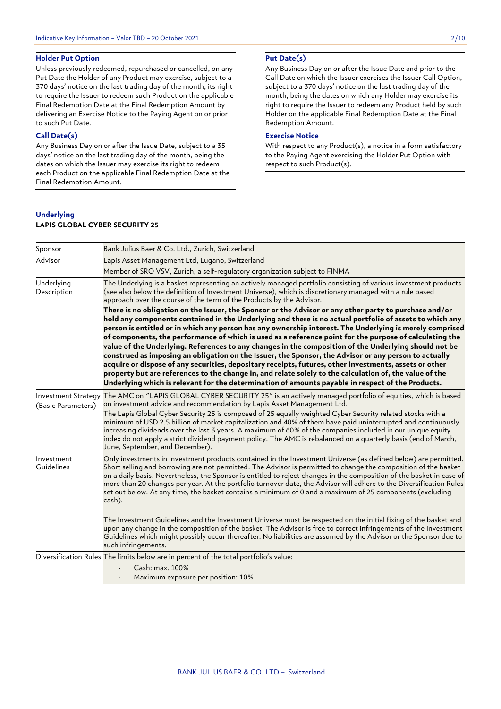## **Holder Put Option**

Unless previously redeemed, repurchased or cancelled, on any Put Date the Holder of any Product may exercise, subject to a 370 days' notice on the last trading day of the month, its right to require the Issuer to redeem such Product on the applicable Final Redemption Date at the Final Redemption Amount by delivering an Exercise Notice to the Paying Agent on or prior to such Put Date.

## **Call Date(s)**

Any Business Day on or after the Issue Date, subject to a 35 days' notice on the last trading day of the month, being the dates on which the Issuer may exercise its right to redeem each Product on the applicable Final Redemption Date at the Final Redemption Amount.

## **Underlying**

## **LAPIS GLOBAL CYBER SECURITY 25**

## **Put Date(s)**

Any Business Day on or after the Issue Date and prior to the Call Date on which the Issuer exercises the Issuer Call Option, subject to a 370 days' notice on the last trading day of the month, being the dates on which any Holder may exercise its right to require the Issuer to redeem any Product held by such Holder on the applicable Final Redemption Date at the Final Redemption Amount.

## **Exercise Notice**

With respect to any Product(s), a notice in a form satisfactory to the Paying Agent exercising the Holder Put Option with respect to such Product(s).

| Sponsor                                          | Bank Julius Baer & Co. Ltd., Zurich, Switzerland                                                                                                                                                                                                                                                                                                                                                                                                                                                                                                                                                                                                                                                                                                                                                                                                                                                                                                                                     |
|--------------------------------------------------|--------------------------------------------------------------------------------------------------------------------------------------------------------------------------------------------------------------------------------------------------------------------------------------------------------------------------------------------------------------------------------------------------------------------------------------------------------------------------------------------------------------------------------------------------------------------------------------------------------------------------------------------------------------------------------------------------------------------------------------------------------------------------------------------------------------------------------------------------------------------------------------------------------------------------------------------------------------------------------------|
| Advisor                                          | Lapis Asset Management Ltd, Lugano, Switzerland                                                                                                                                                                                                                                                                                                                                                                                                                                                                                                                                                                                                                                                                                                                                                                                                                                                                                                                                      |
|                                                  | Member of SRO VSV, Zurich, a self-regulatory organization subject to FINMA                                                                                                                                                                                                                                                                                                                                                                                                                                                                                                                                                                                                                                                                                                                                                                                                                                                                                                           |
| Underlying<br>Description                        | The Underlying is a basket representing an actively managed portfolio consisting of various investment products<br>(see also below the definition of Investment Universe), which is discretionary managed with a rule based<br>approach over the course of the term of the Products by the Advisor.                                                                                                                                                                                                                                                                                                                                                                                                                                                                                                                                                                                                                                                                                  |
|                                                  | There is no obligation on the Issuer, the Sponsor or the Advisor or any other party to purchase and/or<br>hold any components contained in the Underlying and there is no actual portfolio of assets to which any<br>person is entitled or in which any person has any ownership interest. The Underlying is merely comprised<br>of components, the performance of which is used as a reference point for the purpose of calculating the<br>value of the Underlying. References to any changes in the composition of the Underlying should not be<br>construed as imposing an obligation on the Issuer, the Sponsor, the Advisor or any person to actually<br>acquire or dispose of any securities, depositary receipts, futures, other investments, assets or other<br>property but are references to the change in, and relate solely to the calculation of, the value of the<br>Underlying which is relevant for the determination of amounts payable in respect of the Products. |
| <b>Investment Strategy</b><br>(Basic Parameters) | The AMC on "LAPIS GLOBAL CYBER SECURITY 25" is an actively managed portfolio of equities, which is based<br>on investment advice and recommendation by Lapis Asset Management Ltd.<br>The Lapis Global Cyber Security 25 is composed of 25 equally weighted Cyber Security related stocks with a<br>minimum of USD 2.5 billion of market capitalization and 40% of them have paid uninterrupted and continuously<br>increasing dividends over the last 3 years. A maximum of 60% of the companies included in our unique equity<br>index do not apply a strict dividend payment policy. The AMC is rebalanced on a quarterly basis (end of March,<br>June, September, and December).                                                                                                                                                                                                                                                                                                 |
| Investment<br>Guidelines                         | Only investments in investment products contained in the Investment Universe (as defined below) are permitted.<br>Short selling and borrowing are not permitted. The Advisor is permitted to change the composition of the basket<br>on a daily basis. Nevertheless, the Sponsor is entitled to reject changes in the composition of the basket in case of<br>more than 20 changes per year. At the portfolio turnover date, the Advisor will adhere to the Diversification Rules<br>set out below. At any time, the basket contains a minimum of 0 and a maximum of 25 components (excluding<br>cash).<br>The Investment Guidelines and the Investment Universe must be respected on the initial fixing of the basket and                                                                                                                                                                                                                                                           |
|                                                  | upon any change in the composition of the basket. The Advisor is free to correct infringements of the Investment<br>Guidelines which might possibly occur thereafter. No liabilities are assumed by the Advisor or the Sponsor due to<br>such infringements.                                                                                                                                                                                                                                                                                                                                                                                                                                                                                                                                                                                                                                                                                                                         |
|                                                  | Diversification Rules The limits below are in percent of the total portfolio's value:                                                                                                                                                                                                                                                                                                                                                                                                                                                                                                                                                                                                                                                                                                                                                                                                                                                                                                |
|                                                  | Cash: max. 100%<br>Maximum exposure per position: 10%                                                                                                                                                                                                                                                                                                                                                                                                                                                                                                                                                                                                                                                                                                                                                                                                                                                                                                                                |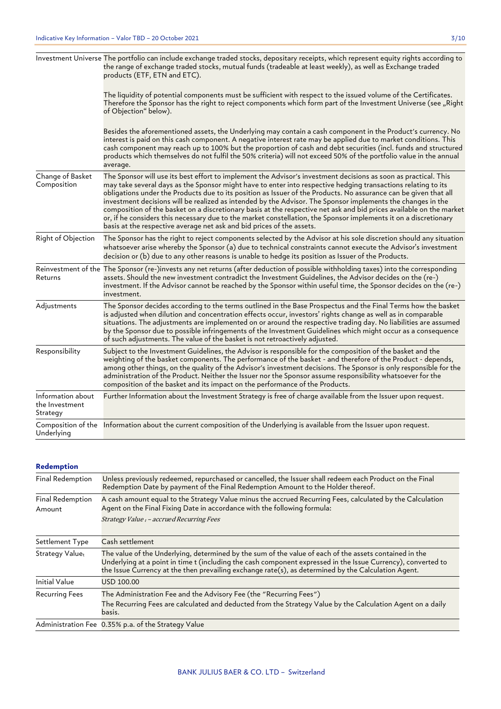|                                                 | Investment Universe The portfolio can include exchange traded stocks, depositary receipts, which represent equity rights according to<br>the range of exchange traded stocks, mutual funds (tradeable at least weekly), as well as Exchange traded<br>products (ETF, ETN and ETC).                                                                                                                                                                                                                                                                                                                                                                                                                                                                                                      |
|-------------------------------------------------|-----------------------------------------------------------------------------------------------------------------------------------------------------------------------------------------------------------------------------------------------------------------------------------------------------------------------------------------------------------------------------------------------------------------------------------------------------------------------------------------------------------------------------------------------------------------------------------------------------------------------------------------------------------------------------------------------------------------------------------------------------------------------------------------|
|                                                 | The liquidity of potential components must be sufficient with respect to the issued volume of the Certificates.<br>Therefore the Sponsor has the right to reject components which form part of the Investment Universe (see "Right<br>of Objection" below).                                                                                                                                                                                                                                                                                                                                                                                                                                                                                                                             |
|                                                 | Besides the aforementioned assets, the Underlying may contain a cash component in the Product's currency. No<br>interest is paid on this cash component. A negative interest rate may be applied due to market conditions. This<br>cash component may reach up to 100% but the proportion of cash and debt securities (incl. funds and structured<br>products which themselves do not fulfil the 50% criteria) will not exceed 50% of the portfolio value in the annual<br>average.                                                                                                                                                                                                                                                                                                     |
| Change of Basket<br>Composition                 | The Sponsor will use its best effort to implement the Advisor's investment decisions as soon as practical. This<br>may take several days as the Sponsor might have to enter into respective hedging transactions relating to its<br>obligations under the Products due to its position as Issuer of the Products. No assurance can be given that all<br>investment decisions will be realized as intended by the Advisor. The Sponsor implements the changes in the<br>composition of the basket on a discretionary basis at the respective net ask and bid prices available on the market<br>or, if he considers this necessary due to the market constellation, the Sponsor implements it on a discretionary<br>basis at the respective average net ask and bid prices of the assets. |
| Right of Objection                              | The Sponsor has the right to reject components selected by the Advisor at his sole discretion should any situation<br>whatsoever arise whereby the Sponsor (a) due to technical constraints cannot execute the Advisor's investment<br>decision or (b) due to any other reasons is unable to hedge its position as Issuer of the Products.                                                                                                                                                                                                                                                                                                                                                                                                                                              |
| Returns                                         | Reinvestment of the The Sponsor (re-)invests any net returns (after deduction of possible withholding taxes) into the corresponding<br>assets. Should the new investment contradict the Investment Guidelines, the Advisor decides on the (re-)<br>investment. If the Advisor cannot be reached by the Sponsor within useful time, the Sponsor decides on the (re-)<br>investment.                                                                                                                                                                                                                                                                                                                                                                                                      |
| Adjustments                                     | The Sponsor decides according to the terms outlined in the Base Prospectus and the Final Terms how the basket<br>is adjusted when dilution and concentration effects occur, investors' rights change as well as in comparable<br>situations. The adjustments are implemented on or around the respective trading day. No liabilities are assumed<br>by the Sponsor due to possible infringements of the Investment Guidelines which might occur as a consequence<br>of such adjustments. The value of the basket is not retroactively adjusted.                                                                                                                                                                                                                                         |
| Responsibility                                  | Subject to the Investment Guidelines, the Advisor is responsible for the composition of the basket and the<br>weighting of the basket components. The performance of the basket - and therefore of the Product - depends,<br>among other things, on the quality of the Advisor's investment decisions. The Sponsor is only responsible for the<br>administration of the Product. Neither the Issuer nor the Sponsor assume responsibility whatsoever for the<br>composition of the basket and its impact on the performance of the Products.                                                                                                                                                                                                                                            |
| Information about<br>the Investment<br>Strategy | Further Information about the Investment Strategy is free of charge available from the Issuer upon request.                                                                                                                                                                                                                                                                                                                                                                                                                                                                                                                                                                                                                                                                             |
| Underlying                                      | Composition of the Information about the current composition of the Underlying is available from the Issuer upon request.                                                                                                                                                                                                                                                                                                                                                                                                                                                                                                                                                                                                                                                               |

## **Redemption**

| Final Redemption           | Unless previously redeemed, repurchased or cancelled, the Issuer shall redeem each Product on the Final<br>Redemption Date by payment of the Final Redemption Amount to the Holder thereof.                                                                                                                                   |
|----------------------------|-------------------------------------------------------------------------------------------------------------------------------------------------------------------------------------------------------------------------------------------------------------------------------------------------------------------------------|
| Final Redemption<br>Amount | A cash amount equal to the Strategy Value minus the accrued Recurring Fees, calculated by the Calculation<br>Agent on the Final Fixing Date in accordance with the following formula:<br>Strategy Value t - accrued Recurring Fees                                                                                            |
| Settlement Type            | Cash settlement                                                                                                                                                                                                                                                                                                               |
| Strategy Valuet            | The value of the Underlying, determined by the sum of the value of each of the assets contained in the<br>Underlying at a point in time t (including the cash component expressed in the Issue Currency), converted to<br>the Issue Currency at the then prevailing exchange rate(s), as determined by the Calculation Agent. |
| <b>Initial Value</b>       | USD 100.00                                                                                                                                                                                                                                                                                                                    |
| <b>Recurring Fees</b>      | The Administration Fee and the Advisory Fee (the "Recurring Fees")<br>The Recurring Fees are calculated and deducted from the Strategy Value by the Calculation Agent on a daily<br>basis.                                                                                                                                    |
|                            | Administration Fee 0.35% p.a. of the Strategy Value                                                                                                                                                                                                                                                                           |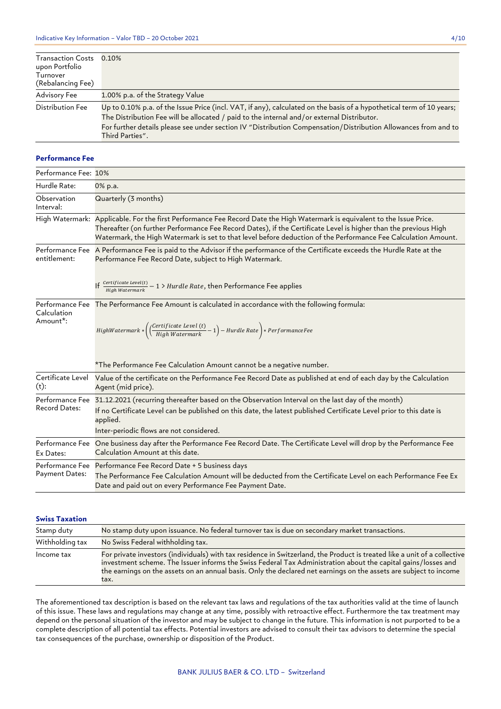| <b>Transaction Costs</b><br>upon Portfolio<br>Turnover<br>(Rebalancing Fee) | $0.10\%$                                                                                                                                                                                                                                                                                                                                                |
|-----------------------------------------------------------------------------|---------------------------------------------------------------------------------------------------------------------------------------------------------------------------------------------------------------------------------------------------------------------------------------------------------------------------------------------------------|
| Advisory Fee                                                                | 1.00% p.a. of the Strategy Value                                                                                                                                                                                                                                                                                                                        |
| Distribution Fee                                                            | Up to 0.10% p.a. of the Issue Price (incl. VAT, if any), calculated on the basis of a hypothetical term of 10 years;<br>The Distribution Fee will be allocated / paid to the internal and/or external Distributor.<br>For further details please see under section IV "Distribution Compensation/Distribution Allowances from and to<br>Third Parties". |

### **Performance Fee**

| Performance Fee: 10%                 |                                                                                                                                                                                                                                                                                                                                                                 |
|--------------------------------------|-----------------------------------------------------------------------------------------------------------------------------------------------------------------------------------------------------------------------------------------------------------------------------------------------------------------------------------------------------------------|
| Hurdle Rate:                         | 0% p.a.                                                                                                                                                                                                                                                                                                                                                         |
| Observation<br>Interval:             | Quarterly (3 months)                                                                                                                                                                                                                                                                                                                                            |
|                                      | High Watermark: Applicable. For the first Performance Fee Record Date the High Watermark is equivalent to the Issue Price.<br>Thereafter (on further Performance Fee Record Dates), if the Certificate Level is higher than the previous High<br>Watermark, the High Watermark is set to that level before deduction of the Performance Fee Calculation Amount. |
| entitlement:                         | Performance Fee A Performance Fee is paid to the Advisor if the performance of the Certificate exceeds the Hurdle Rate at the<br>Performance Fee Record Date, subject to High Watermark.                                                                                                                                                                        |
|                                      | If $\frac{Centificate \text{ Level}(t)}{High \text{ Water} mark} - 1$ > Hurdle Rate, then Performance Fee applies                                                                                                                                                                                                                                               |
| Calculation<br>Amount <sup>*</sup> : | Performance Fee The Performance Fee Amount is calculated in accordance with the following formula:<br>$HighWater mark * \left(\frac{(Certificance \; Level \; (t)}{High \; Watermark} - 1\right) - Hurdle \; Rate\right) * PerformanceFee$                                                                                                                      |
|                                      | *The Performance Fee Calculation Amount cannot be a negative number.                                                                                                                                                                                                                                                                                            |
| Certificate Level<br>$(t)$ :         | Value of the certificate on the Performance Fee Record Date as published at end of each day by the Calculation<br>Agent (mid price).                                                                                                                                                                                                                            |
| <b>Record Dates:</b>                 | Performance Fee 31.12.2021 (recurring thereafter based on the Observation Interval on the last day of the month)<br>If no Certificate Level can be published on this date, the latest published Certificate Level prior to this date is<br>applied.<br>Inter-periodic flows are not considered.                                                                 |
| Performance Fee<br>Ex Dates:         | One business day after the Performance Fee Record Date. The Certificate Level will drop by the Performance Fee<br>Calculation Amount at this date.                                                                                                                                                                                                              |
| Payment Dates:                       | Performance Fee Performance Fee Record Date + 5 business days<br>The Performance Fee Calculation Amount will be deducted from the Certificate Level on each Performance Fee Ex<br>Date and paid out on every Performance Fee Payment Date.                                                                                                                      |

## **Swiss Taxation**

| Stamp duty      | No stamp duty upon issuance. No federal turnover tax is due on secondary market transactions.                                                                                                                                                                                                                                                                           |
|-----------------|-------------------------------------------------------------------------------------------------------------------------------------------------------------------------------------------------------------------------------------------------------------------------------------------------------------------------------------------------------------------------|
| Withholding tax | No Swiss Federal withholding tax.                                                                                                                                                                                                                                                                                                                                       |
| Income tax      | For private investors (individuals) with tax residence in Switzerland, the Product is treated like a unit of a collective<br>investment scheme. The Issuer informs the Swiss Federal Tax Administration about the capital gains/losses and<br>the earnings on the assets on an annual basis. Only the declared net earnings on the assets are subject to income<br>tax. |

The aforementioned tax description is based on the relevant tax laws and regulations of the tax authorities valid at the time of launch of this issue. These laws and regulations may change at any time, possibly with retroactive effect. Furthermore the tax treatment may depend on the personal situation of the investor and may be subject to change in the future. This information is not purported to be a complete description of all potential tax effects. Potential investors are advised to consult their tax advisors to determine the special tax consequences of the purchase, ownership or disposition of the Product.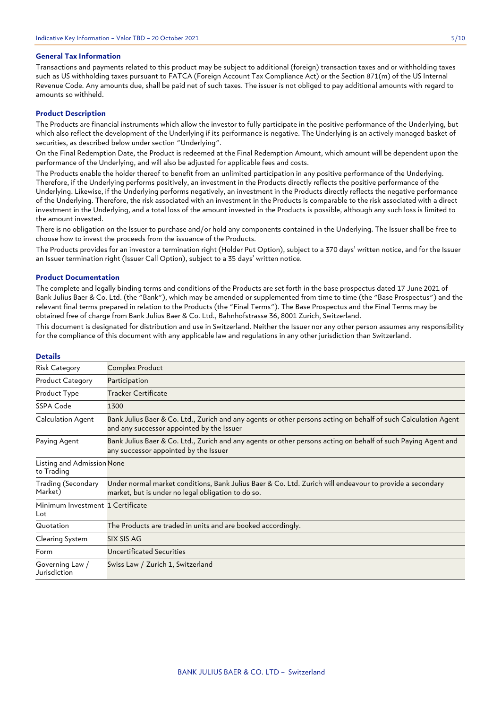## **General Tax Information**

Transactions and payments related to this product may be subject to additional (foreign) transaction taxes and or withholding taxes such as US withholding taxes pursuant to FATCA (Foreign Account Tax Compliance Act) or the Section 871(m) of the US Internal Revenue Code. Any amounts due, shall be paid net of such taxes. The issuer is not obliged to pay additional amounts with regard to amounts so withheld.

## **Product Description**

The Products are financial instruments which allow the investor to fully participate in the positive performance of the Underlying, but which also reflect the development of the Underlying if its performance is negative. The Underlying is an actively managed basket of securities, as described below under section "Underlying".

On the Final Redemption Date, the Product is redeemed at the Final Redemption Amount, which amount will be dependent upon the performance of the Underlying, and will also be adjusted for applicable fees and costs.

The Products enable the holder thereof to benefit from an unlimited participation in any positive performance of the Underlying. Therefore, if the Underlying performs positively, an investment in the Products directly reflects the positive performance of the Underlying. Likewise, if the Underlying performs negatively, an investment in the Products directly reflects the negative performance of the Underlying. Therefore, the risk associated with an investment in the Products is comparable to the risk associated with a direct investment in the Underlying, and a total loss of the amount invested in the Products is possible, although any such loss is limited to the amount invested.

There is no obligation on the Issuer to purchase and/or hold any components contained in the Underlying. The Issuer shall be free to choose how to invest the proceeds from the issuance of the Products.

The Products provides for an investor a termination right (Holder Put Option), subject to a 370 days' written notice, and for the Issuer an Issuer termination right (Issuer Call Option), subject to a 35 days' written notice.

#### **Product Documentation**

The complete and legally binding terms and conditions of the Products are set forth in the base prospectus dated 17 June 2021 of Bank Julius Baer & Co. Ltd. (the "Bank"), which may be amended or supplemented from time to time (the "Base Prospectus") and the relevant final terms prepared in relation to the Products (the "Final Terms"). The Base Prospectus and the Final Terms may be obtained free of charge from Bank Julius Baer & Co. Ltd., Bahnhofstrasse 36, 8001 Zurich, Switzerland.

This document is designated for distribution and use in Switzerland. Neither the Issuer nor any other person assumes any responsibility for the compliance of this document with any applicable law and regulations in any other jurisdiction than Switzerland.

| Details                                  |                                                                                                                                                                |
|------------------------------------------|----------------------------------------------------------------------------------------------------------------------------------------------------------------|
| <b>Risk Category</b>                     | Complex Product                                                                                                                                                |
| <b>Product Category</b>                  | Participation                                                                                                                                                  |
| Product Type                             | <b>Tracker Certificate</b>                                                                                                                                     |
| SSPA Code                                | 1300                                                                                                                                                           |
| Calculation Agent                        | Bank Julius Baer & Co. Ltd., Zurich and any agents or other persons acting on behalf of such Calculation Agent<br>and any successor appointed by the Issuer    |
| Paying Agent                             | Bank Julius Baer & Co. Ltd., Zurich and any agents or other persons acting on behalf of such Paying Agent and<br>any successor appointed by the Issuer         |
| Listing and Admission None<br>to Trading |                                                                                                                                                                |
| Trading (Secondary<br>Market)            | Under normal market conditions, Bank Julius Baer & Co. Ltd. Zurich will endeavour to provide a secondary<br>market, but is under no legal obligation to do so. |
| Minimum Investment 1 Certificate<br>Lot  |                                                                                                                                                                |
| Quotation                                | The Products are traded in units and are booked accordingly.                                                                                                   |
| Clearing System                          | SIX SIS AG                                                                                                                                                     |
| Form                                     | Uncertificated Securities                                                                                                                                      |
| Governing Law /<br>Jurisdiction          | Swiss Law / Zurich 1, Switzerland                                                                                                                              |

## **Details**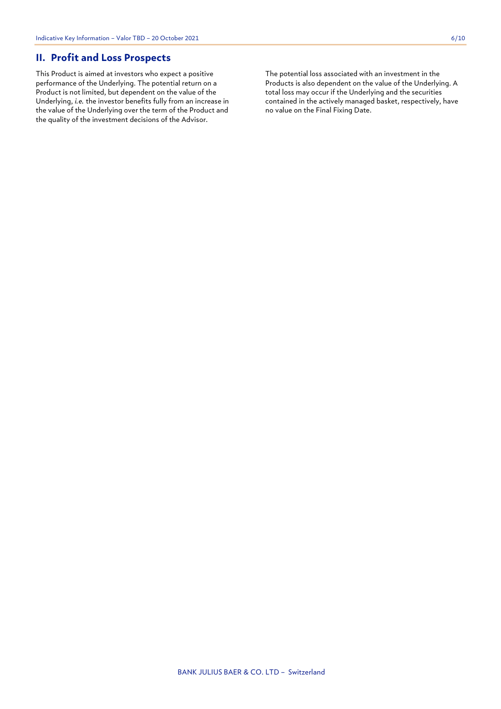## **II. Profit and Loss Prospects**

This Product is aimed at investors who expect a positive performance of the Underlying. The potential return on a Product is not limited, but dependent on the value of the Underlying, *i.e.* the investor benefits fully from an increase in the value of the Underlying over the term of the Product and the quality of the investment decisions of the Advisor.

The potential loss associated with an investment in the Products is also dependent on the value of the Underlying. A total loss may occur if the Underlying and the securities contained in the actively managed basket, respectively, have no value on the Final Fixing Date.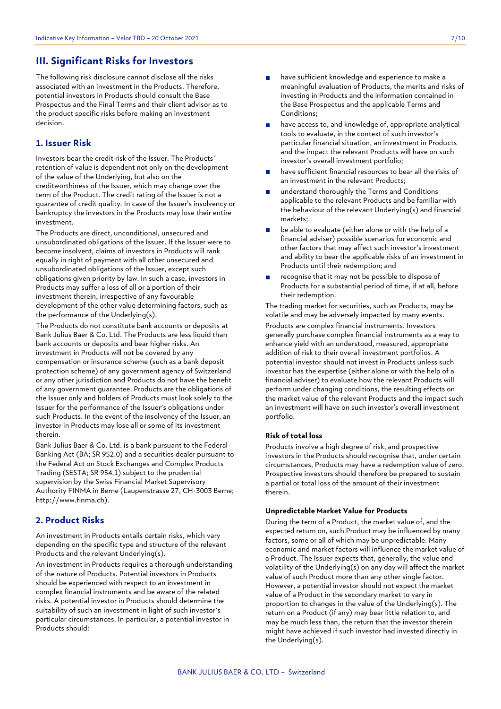## **III. Significant Risks for Investors**

The following risk disclosure cannot disclose all the risks associated with an investment in the Products. Therefore, potential investors in Products should consult the Base Prospectus and the Final Terms and their client advisor as to the product specific risks before making an investment decision.

## **1. Issuer Risk**

Investors bear the credit risk of the Issuer. The Products´ retention of value is dependent not only on the development of the value of the Underlying, but also on the creditworthiness of the Issuer, which may change over the term of the Product. The credit rating of the Issuer is not a guarantee of credit quality. In case of the Issuer's insolvency or bankruptcy the investors in the Products may lose their entire investment.

The Products are direct, unconditional, unsecured and unsubordinated obligations of the Issuer. If the Issuer were to become insolvent, claims of investors in Products will rank equally in right of payment with all other unsecured and unsubordinated obligations of the Issuer, except such obligations given priority by law. In such a case, investors in Products may suffer a loss of all or a portion of their investment therein, irrespective of any favourable development of the other value determining factors, such as the performance of the Underlying(s).

The Products do not constitute bank accounts or deposits at Bank Julius Baer & Co. Ltd. The Products are less liquid than bank accounts or deposits and bear higher risks. An investment in Products will not be covered by any compensation or insurance scheme (such as a bank deposit protection scheme) of any government agency of Switzerland or any other jurisdiction and Products do not have the benefit of any government guarantee. Products are the obligations of the Issuer only and holders of Products must look solely to the Issuer for the performance of the Issuer's obligations under such Products. In the event of the insolvency of the Issuer, an investor in Products may lose all or some of its investment therein.

Bank Julius Baer & Co. Ltd. is a bank pursuant to the Federal Banking Act (BA; SR 952.0) and a securities dealer pursuant to the Federal Act on Stock Exchanges and Complex Products Trading (SESTA; SR 954.1) subject to the prudential supervision by the Swiss Financial Market Supervisory Authority FINMA in Berne (Laupenstrasse 27, CH-3003 Berne; http://www.finma.ch).

## **2. Product Risks**

An investment in Products entails certain risks, which vary depending on the specific type and structure of the relevant Products and the relevant Underlying(s).

An investment in Products requires a thorough understanding of the nature of Products. Potential investors in Products should be experienced with respect to an investment in complex financial instruments and be aware of the related risks. A potential investor in Products should determine the suitability of such an investment in light of such investor's particular circumstances. In particular, a potential investor in Products should:

- have sufficient knowledge and experience to make a meaningful evaluation of Products, the merits and risks of investing in Products and the information contained in the Base Prospectus and the applicable Terms and Conditions;
- have access to, and knowledge of, appropriate analytical tools to evaluate, in the context of such investor's particular financial situation, an investment in Products and the impact the relevant Products will have on such investor's overall investment portfolio;
- have sufficient financial resources to bear all the risks of an investment in the relevant Products;
- understand thoroughly the Terms and Conditions applicable to the relevant Products and be familiar with the behaviour of the relevant Underlying(s) and financial markets;
- be able to evaluate (either alone or with the help of a financial adviser) possible scenarios for economic and other factors that may affect such investor's investment and ability to bear the applicable risks of an investment in Products until their redemption; and
- recognise that it may not be possible to dispose of Products for a substantial period of time, if at all, before their redemption.

The trading market for securities, such as Products, may be volatile and may be adversely impacted by many events. Products are complex financial instruments. Investors generally purchase complex financial instruments as a way to enhance yield with an understood, measured, appropriate addition of risk to their overall investment portfolios. A potential investor should not invest in Products unless such investor has the expertise (either alone or with the help of a financial adviser) to evaluate how the relevant Products will perform under changing conditions, the resulting effects on the market value of the relevant Products and the impact such an investment will have on such investor's overall investment portfolio.

## **Risk of total loss**

Products involve a high degree of risk, and prospective investors in the Products should recognise that, under certain circumstances, Products may have a redemption value of zero. Prospective investors should therefore be prepared to sustain a partial or total loss of the amount of their investment therein.

## **Unpredictable Market Value for Products**

During the term of a Product, the market value of, and the expected return on, such Product may be influenced by many factors, some or all of which may be unpredictable. Many economic and market factors will influence the market value of a Product. The Issuer expects that, generally, the value and volatility of the Underlying(s) on any day will affect the market value of such Product more than any other single factor. However, a potential investor should not expect the market value of a Product in the secondary market to vary in proportion to changes in the value of the Underlying(s). The return on a Product (if any) may bear little relation to, and may be much less than, the return that the investor therein might have achieved if such investor had invested directly in the Underlying(s).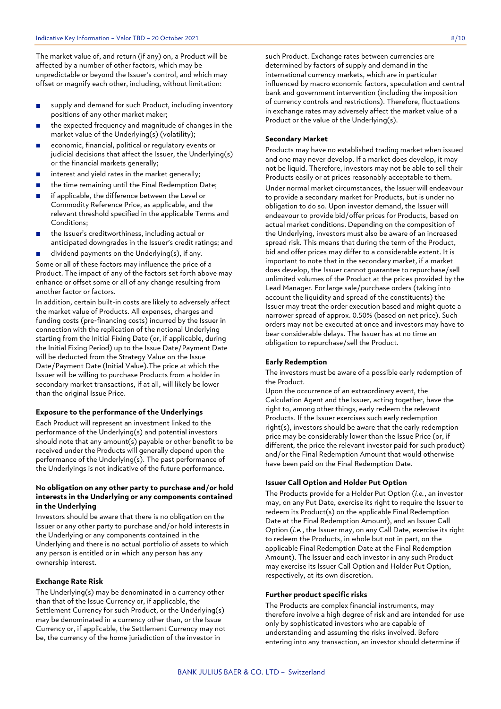The market value of, and return (if any) on, a Product will be affected by a number of other factors, which may be unpredictable or beyond the Issuer's control, and which may offset or magnify each other, including, without limitation:

- supply and demand for such Product, including inventory  $\mathbf{r}$ positions of any other market maker;
- the expected frequency and magnitude of changes in the market value of the Underlying(s) (volatility);
- economic, financial, political or regulatory events or  $\mathbf{r}$ judicial decisions that affect the Issuer, the Underlying(s) or the financial markets generally;
- interest and yield rates in the market generally;  $\blacksquare$
- the time remaining until the Final Redemption Date;  $\blacksquare$
- if applicable, the difference between the Level or  $\blacksquare$ Commodity Reference Price, as applicable, and the relevant threshold specified in the applicable Terms and Conditions;
- the Issuer's creditworthiness, including actual or anticipated downgrades in the Issuer's credit ratings; and

dividend payments on the Underlying(s), if any.  $\mathbf{r}$ Some or all of these factors may influence the price of a Product. The impact of any of the factors set forth above may enhance or offset some or all of any change resulting from another factor or factors.

In addition, certain built-in costs are likely to adversely affect the market value of Products. All expenses, charges and funding costs (pre-financing costs) incurred by the Issuer in connection with the replication of the notional Underlying starting from the Initial Fixing Date (or, if applicable, during the Initial Fixing Period) up to the Issue Date/Payment Date will be deducted from the Strategy Value on the Issue Date/Payment Date (Initial Value).The price at which the Issuer will be willing to purchase Products from a holder in secondary market transactions, if at all, will likely be lower than the original Issue Price.

#### **Exposure to the performance of the Underlyings**

Each Product will represent an investment linked to the performance of the Underlying(s) and potential investors should note that any amount(s) payable or other benefit to be received under the Products will generally depend upon the performance of the Underlying(s). The past performance of the Underlyings is not indicative of the future performance.

## **No obligation on any other party to purchase and/or hold interests in the Underlying or any components contained in the Underlying**

Investors should be aware that there is no obligation on the Issuer or any other party to purchase and/or hold interests in the Underlying or any components contained in the Underlying and there is no actual portfolio of assets to which any person is entitled or in which any person has any ownership interest.

#### **Exchange Rate Risk**

The Underlying(s) may be denominated in a currency other than that of the Issue Currency or, if applicable, the Settlement Currency for such Product, or the Underlying(s) may be denominated in a currency other than, or the Issue Currency or, if applicable, the Settlement Currency may not be, the currency of the home jurisdiction of the investor in

such Product. Exchange rates between currencies are determined by factors of supply and demand in the international currency markets, which are in particular influenced by macro economic factors, speculation and central bank and government intervention (including the imposition of currency controls and restrictions). Therefore, fluctuations in exchange rates may adversely affect the market value of a Product or the value of the Underlying(s).

## **Secondary Market**

Products may have no established trading market when issued and one may never develop. If a market does develop, it may not be liquid. Therefore, investors may not be able to sell their Products easily or at prices reasonably acceptable to them. Under normal market circumstances, the Issuer will endeavour to provide a secondary market for Products, but is under no obligation to do so. Upon investor demand, the Issuer will endeavour to provide bid/offer prices for Products, based on actual market conditions. Depending on the composition of the Underlying, investors must also be aware of an increased spread risk. This means that during the term of the Product, bid and offer prices may differ to a considerable extent. It is important to note that in the secondary market, if a market does develop, the Issuer cannot guarantee to repurchase/sell unlimited volumes of the Product at the prices provided by the Lead Manager. For large sale/purchase orders (taking into account the liquidity and spread of the constituents) the Issuer may treat the order execution based and might quote a narrower spread of approx. 0.50% (based on net price). Such orders may not be executed at once and investors may have to bear considerable delays. The Issuer has at no time an obligation to repurchase/sell the Product.

#### **Early Redemption**

The investors must be aware of a possible early redemption of the Product.

Upon the occurrence of an extraordinary event, the Calculation Agent and the Issuer, acting together, have the right to, among other things, early redeem the relevant Products. If the Issuer exercises such early redemption right(s), investors should be aware that the early redemption price may be considerably lower than the Issue Price (or, if different, the price the relevant investor paid for such product) and/or the Final Redemption Amount that would otherwise have been paid on the Final Redemption Date.

## **Issuer Call Option and Holder Put Option**

The Products provide for a Holder Put Option (*i.e.*, an investor may, on any Put Date, exercise its right to require the Issuer to redeem its Product(s) on the applicable Final Redemption Date at the Final Redemption Amount), and an Issuer Call Option (*i.e.*, the Issuer may, on any Call Date, exercise its right to redeem the Products, in whole but not in part, on the applicable Final Redemption Date at the Final Redemption Amount). The Issuer and each investor in any such Product may exercise its Issuer Call Option and Holder Put Option, respectively, at its own discretion.

## **Further product specific risks**

The Products are complex financial instruments, may therefore involve a high degree of risk and are intended for use only by sophisticated investors who are capable of understanding and assuming the risks involved. Before entering into any transaction, an investor should determine if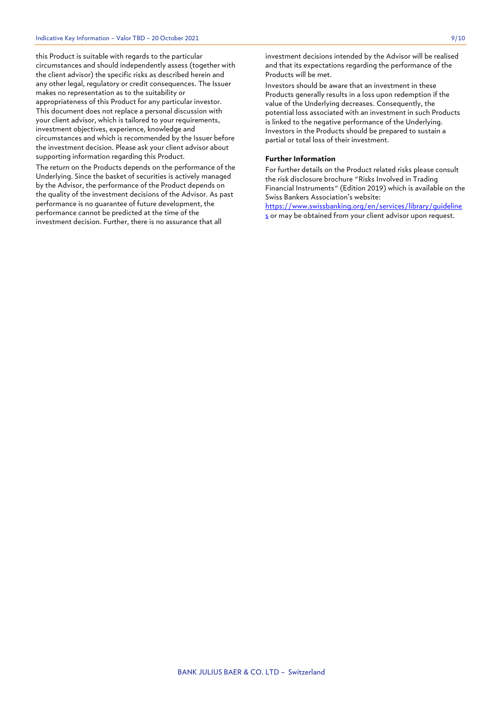this Product is suitable with regards to the particular circumstances and should independently assess (together with the client advisor) the specific risks as described herein and any other legal, regulatory or credit consequences. The Issuer makes no representation as to the suitability or appropriateness of this Product for any particular investor. This document does not replace a personal discussion with your client advisor, which is tailored to your requirements, investment objectives, experience, knowledge and circumstances and which is recommended by the Issuer before the investment decision. Please ask your client advisor about supporting information regarding this Product.

The return on the Products depends on the performance of the Underlying. Since the basket of securities is actively managed by the Advisor, the performance of the Product depends on the quality of the investment decisions of the Advisor. As past performance is no guarantee of future development, the performance cannot be predicted at the time of the investment decision. Further, there is no assurance that all

investment decisions intended by the Advisor will be realised and that its expectations regarding the performance of the Products will be met.

Investors should be aware that an investment in these Products generally results in a loss upon redemption if the value of the Underlying decreases. Consequently, the potential loss associated with an investment in such Products is linked to the negative performance of the Underlying. Investors in the Products should be prepared to sustain a partial or total loss of their investment.

## **Further Information**

For further details on the Product related risks please consult the risk disclosure brochure "Risks Involved in Trading Financial Instruments" (Edition 2019) which is available on the Swiss Bankers Association's website:

[https://www.swissbanking.org/en/services/library/guideline](https://www.swissbanking.org/en/services/library/guidelines) [s](https://www.swissbanking.org/en/services/library/guidelines) or may be obtained from your client advisor upon request.